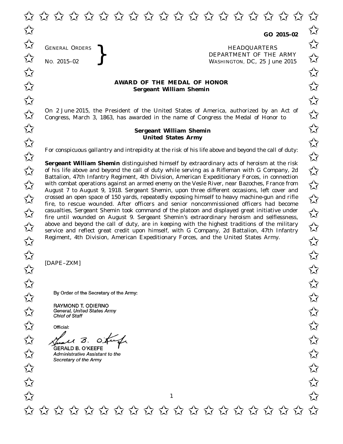GENERAL ORDERS

**GO 2015–02**

GENERAL ORDERS **REAL ORDERS** HEADQUARTERS **HEADQUARTERS HEADQUARTERS DEPARTMENT** OF THE **WASHINGTON**, DC, 25 Jul DEPARTMENT OF THE ARMY No. 2015-02<br>
No. 2015-02<br>
No. 2015-02<br> **Solution** MASHINGTON, DC, 25 June 2015  $\overrightarrow{\mathcal{A}}$  GENERAL ORDERS  $\overrightarrow{\mathcal{A}}$ 

## **AWARD OF THE MEDAL OF HONOR**<br>
Sergeant William Shemin **Sergeant William Shemin**

On 2 June 2015, the President of the United States of America, authorized by an Act of  $\sim$  Congress. March 3, 1863, has awarded in the name of Congress the Medal of Honor to  $\sim$  X Congress, March 3, 1863, has awarded in the name of Congress the Medal of Honor to

## **Sergeant William Shemin** ✩ ✩ **United States Army**  $\overrightarrow{U}$   $\overrightarrow{U}$   $\overrightarrow{U}$   $\overrightarrow{U}$   $\overrightarrow{V}$   $\overrightarrow{V}$   $\overrightarrow{V}$   $\overrightarrow{V}$   $\overrightarrow{V}$   $\overrightarrow{V}$   $\overrightarrow{V}$   $\overrightarrow{V}$   $\overrightarrow{V}$   $\overrightarrow{V}$   $\overrightarrow{V}$   $\overrightarrow{V}$   $\overrightarrow{V}$   $\overrightarrow{V}$   $\overrightarrow{V}$   $\overrightarrow{V}$   $\overrightarrow{V}$   $\overrightarrow{V}$   $\overrightarrow{V}$   $\overrightarrow{V}$   $\overrightarrow{$

For conspicuous gallantry and intrepidity at the risk of his life above and beyond the call of duty:

**Sergeant William Shemin** distinguished himself by extraordinary acts of heroism at the risk **Sergeant William Shemin** distinguished himself by extraordinary acts of heroism at the risk<br>of his life above and beyond the call of duty while serving as a Rifleman with G Company, 2d Battalion, 47th Infantry Regiment, 4th Division, American Expeditionary Forces, in connection Battalion, 47th Infantry Regiment, 4th Division, American Expeditionary Forces, in connection<br>
with combat operations against an armed enemy on the Vesle River, near Bazoches, France from<br>
An armor  $\chi^2$ August 7 to August 9, 1918. Sergeant Shemin, upon three different occasions, left cover and Expansion of the series of 150 yards, repeatedly exposing himself to heavy machine-gun and rifle<br>  $\sim$  x stress to researce wounded. After efficers and senior papermusicioned efficers had become fire, to rescue wounded. After officers and senior noncommissioned officers had become casualties, Sergeant Shemin took command of the platoon and displayed great initiative under<br>
Some the until wounded on August 9. Sergeant Shemin's extraordinary beroism and selflessness fire until wounded on August 9. Sergeant Shemin's extraordinary heroism and selflessness, above and beyond the call of duty, are in keeping with the highest traditions of the military  $\sim$ service and reflect great credit upon himself, with G Company, 2d Battalion, 47th Infantry Regiment, 4th Division, American Expeditionary Forces, and the United States Army.

1

[DAPE–ZXM]

 $\frac{1}{24}$ <br>By Order of the Secretary of the Army:<br> $\frac{1}{24}$ 

RAYMOND T. ODIERNO<br>General, United States Army<br>Chief of Staff

to the 3. Others

GERALD B. O'KEEFE  $\bigwedge^1$ <br>Administrative Assistant to the  $\frac{1}{2}$